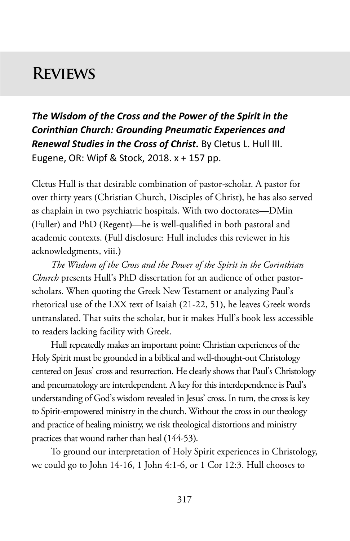# **Reviews**

*The Wisdom of the Cross and the Power of the Spirit in the Corinthian Church: Grounding Pneumatic Experiences and Renewal Studies in the Cross of Christ***.** By Cletus L. Hull III. Eugene, OR: Wipf & Stock, 2018. x + 157 pp.

Cletus Hull is that desirable combination of pastor-scholar. A pastor for over thirty years (Christian Church, Disciples of Christ), he has also served as chaplain in two psychiatric hospitals. With two doctorates—DMin (Fuller) and PhD (Regent)—he is well-qualified in both pastoral and academic contexts. (Full disclosure: Hull includes this reviewer in his acknowledgments, viii.)

*The Wisdom of the Cross and the Power of the Spirit in the Corinthian Church* presents Hull's PhD dissertation for an audience of other pastorscholars. When quoting the Greek New Testament or analyzing Paul's rhetorical use of the LXX text of Isaiah (21-22, 51), he leaves Greek words untranslated. That suits the scholar, but it makes Hull's book less accessible to readers lacking facility with Greek.

Hull repeatedly makes an important point: Christian experiences of the Holy Spirit must be grounded in a biblical and well-thought-out Christology centered on Jesus' cross and resurrection. He clearly shows that Paul's Christology and pneumatology are interdependent. A key for this interdependence is Paul's understanding of God's wisdom revealed in Jesus' cross. In turn, the cross is key to Spirit-empowered ministry in the church. Without the cross in our theology and practice of healing ministry, we risk theological distortions and ministry practices that wound rather than heal (144-53).

To ground our interpretation of Holy Spirit experiences in Christology, we could go to John 14-16, 1 John 4:1-6, or 1 Cor 12:3. Hull chooses to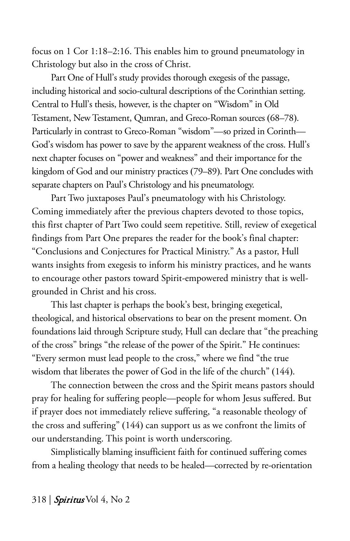focus on 1 Cor 1:18–2:16. This enables him to ground pneumatology in Christology but also in the cross of Christ.

Part One of Hull's study provides thorough exegesis of the passage, including historical and socio-cultural descriptions of the Corinthian setting. Central to Hull's thesis, however, is the chapter on "Wisdom" in Old Testament, New Testament, Qumran, and Greco-Roman sources (68–78). Particularly in contrast to Greco-Roman "wisdom"—so prized in Corinth— God's wisdom has power to save by the apparent weakness of the cross. Hull's next chapter focuses on "power and weakness" and their importance for the kingdom of God and our ministry practices (79–89). Part One concludes with separate chapters on Paul's Christology and his pneumatology.

Part Two juxtaposes Paul's pneumatology with his Christology. Coming immediately after the previous chapters devoted to those topics, this first chapter of Part Two could seem repetitive. Still, review of exegetical findings from Part One prepares the reader for the book's final chapter: "Conclusions and Conjectures for Practical Ministry." As a pastor, Hull wants insights from exegesis to inform his ministry practices, and he wants to encourage other pastors toward Spirit-empowered ministry that is wellgrounded in Christ and his cross.

This last chapter is perhaps the book's best, bringing exegetical, theological, and historical observations to bear on the present moment. On foundations laid through Scripture study, Hull can declare that "the preaching of the cross" brings "the release of the power of the Spirit." He continues: "Every sermon must lead people to the cross," where we find "the true wisdom that liberates the power of God in the life of the church" (144).

The connection between the cross and the Spirit means pastors should pray for healing for suffering people—people for whom Jesus suffered. But if prayer does not immediately relieve suffering, "a reasonable theology of the cross and suffering" (144) can support us as we confront the limits of our understanding. This point is worth underscoring.

Simplistically blaming insufficient faith for continued suffering comes from a healing theology that needs to be healed—corrected by re-orientation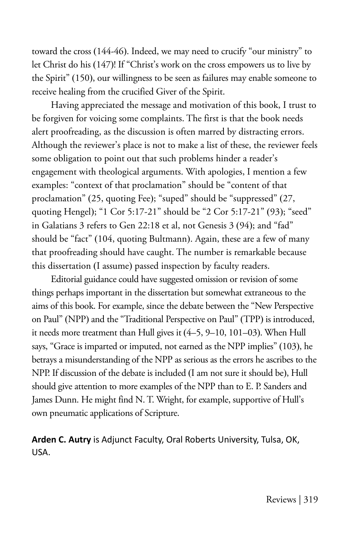toward the cross (144-46). Indeed, we may need to crucify "our ministry" to let Christ do his (147)! If "Christ's work on the cross empowers us to live by the Spirit" (150), our willingness to be seen as failures may enable someone to receive healing from the crucified Giver of the Spirit.

Having appreciated the message and motivation of this book, I trust to be forgiven for voicing some complaints. The first is that the book needs alert proofreading, as the discussion is often marred by distracting errors. Although the reviewer's place is not to make a list of these, the reviewer feels some obligation to point out that such problems hinder a reader's engagement with theological arguments. With apologies, I mention a few examples: "context of that proclamation" should be "content of that proclamation" (25, quoting Fee); "suped" should be "suppressed" (27, quoting Hengel); "1 Cor 5:17-21" should be "2 Cor 5:17-21" (93); "seed" in Galatians 3 refers to Gen 22:18 et al, not Genesis 3 (94); and "fad" should be "fact" (104, quoting Bultmann). Again, these are a few of many that proofreading should have caught. The number is remarkable because this dissertation (I assume) passed inspection by faculty readers.

Editorial guidance could have suggested omission or revision of some things perhaps important in the dissertation but somewhat extraneous to the aims of this book. For example, since the debate between the "New Perspective on Paul" (NPP) and the "Traditional Perspective on Paul" (TPP) is introduced, it needs more treatment than Hull gives it (4–5, 9–10, 101–03). When Hull says, "Grace is imparted or imputed, not earned as the NPP implies" (103), he betrays a misunderstanding of the NPP as serious as the errors he ascribes to the NPP. If discussion of the debate is included (I am not sure it should be), Hull should give attention to more examples of the NPP than to E. P. Sanders and James Dunn. He might find N. T. Wright, for example, supportive of Hull's own pneumatic applications of Scripture.

#### **Arden C. Autry** is Adjunct Faculty, Oral Roberts University, Tulsa, OK, USA.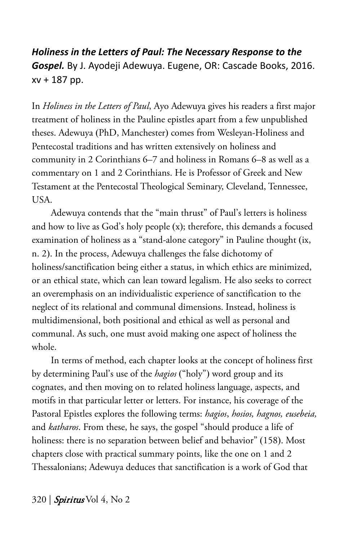*Holiness in the Letters of Paul: The Necessary Response to the Gospel.* By J. Ayodeji Adewuya. Eugene, OR: Cascade Books, 2016. xv + 187 pp.

In *Holiness in the Letters of Paul*, Ayo Adewuya gives his readers a first major treatment of holiness in the Pauline epistles apart from a few unpublished theses. Adewuya (PhD, Manchester) comes from Wesleyan-Holiness and Pentecostal traditions and has written extensively on holiness and community in 2 Corinthians 6–7 and holiness in Romans 6–8 as well as a commentary on 1 and 2 Corinthians. He is Professor of Greek and New Testament at the Pentecostal Theological Seminary, Cleveland, Tennessee, USA.

Adewuya contends that the "main thrust" of Paul's letters is holiness and how to live as God's holy people (x); therefore, this demands a focused examination of holiness as a "stand-alone category" in Pauline thought (ix, n. 2). In the process, Adewuya challenges the false dichotomy of holiness/sanctification being either a status, in which ethics are minimized, or an ethical state, which can lean toward legalism. He also seeks to correct an overemphasis on an individualistic experience of sanctification to the neglect of its relational and communal dimensions. Instead, holiness is multidimensional, both positional and ethical as well as personal and communal. As such, one must avoid making one aspect of holiness the whole.

In terms of method, each chapter looks at the concept of holiness first by determining Paul's use of the *hagios* ("holy") word group and its cognates, and then moving on to related holiness language, aspects, and motifs in that particular letter or letters. For instance, his coverage of the Pastoral Epistles explores the following terms: *hagios*, *hosios, hagnos, eusebeia,*  and *katharos*. From these, he says, the gospel "should produce a life of holiness: there is no separation between belief and behavior" (158). Most chapters close with practical summary points, like the one on 1 and 2 Thessalonians; Adewuya deduces that sanctification is a work of God that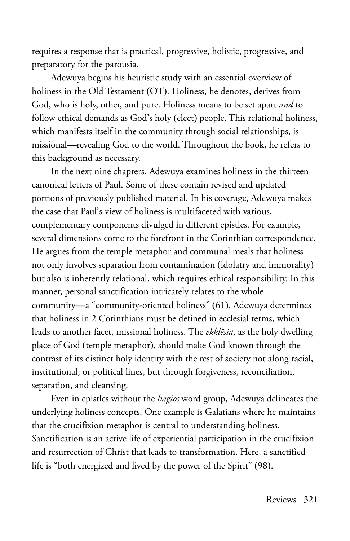requires a response that is practical, progressive, holistic, progressive, and preparatory for the parousia.

Adewuya begins his heuristic study with an essential overview of holiness in the Old Testament (OT). Holiness, he denotes, derives from God, who is holy, other, and pure. Holiness means to be set apart *and* to follow ethical demands as God's holy (elect) people. This relational holiness, which manifests itself in the community through social relationships, is missional—revealing God to the world. Throughout the book, he refers to this background as necessary.

In the next nine chapters, Adewuya examines holiness in the thirteen canonical letters of Paul. Some of these contain revised and updated portions of previously published material. In his coverage, Adewuya makes the case that Paul's view of holiness is multifaceted with various, complementary components divulged in different epistles. For example, several dimensions come to the forefront in the Corinthian correspondence. He argues from the temple metaphor and communal meals that holiness not only involves separation from contamination (idolatry and immorality) but also is inherently relational, which requires ethical responsibility. In this manner, personal sanctification intricately relates to the whole community—a "community-oriented holiness" (61). Adewuya determines that holiness in 2 Corinthians must be defined in ecclesial terms, which leads to another facet, missional holiness. The *ekklēsia*, as the holy dwelling place of God (temple metaphor), should make God known through the contrast of its distinct holy identity with the rest of society not along racial, institutional, or political lines, but through forgiveness, reconciliation, separation, and cleansing.

Even in epistles without the *hagios* word group, Adewuya delineates the underlying holiness concepts. One example is Galatians where he maintains that the crucifixion metaphor is central to understanding holiness. Sanctification is an active life of experiential participation in the crucifixion and resurrection of Christ that leads to transformation. Here, a sanctified life is "both energized and lived by the power of the Spirit" (98).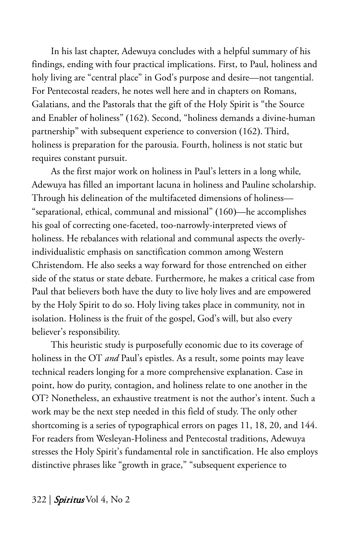In his last chapter, Adewuya concludes with a helpful summary of his findings, ending with four practical implications. First, to Paul, holiness and holy living are "central place" in God's purpose and desire—not tangential. For Pentecostal readers, he notes well here and in chapters on Romans, Galatians, and the Pastorals that the gift of the Holy Spirit is "the Source and Enabler of holiness" (162). Second, "holiness demands a divine-human partnership" with subsequent experience to conversion (162). Third, holiness is preparation for the parousia. Fourth, holiness is not static but requires constant pursuit.

As the first major work on holiness in Paul's letters in a long while*,*  Adewuya has filled an important lacuna in holiness and Pauline scholarship. Through his delineation of the multifaceted dimensions of holiness— "separational, ethical, communal and missional" (160)—he accomplishes his goal of correcting one-faceted, too-narrowly-interpreted views of holiness. He rebalances with relational and communal aspects the overlyindividualistic emphasis on sanctification common among Western Christendom. He also seeks a way forward for those entrenched on either side of the status or state debate. Furthermore, he makes a critical case from Paul that believers both have the duty to live holy lives and are empowered by the Holy Spirit to do so. Holy living takes place in community, not in isolation. Holiness is the fruit of the gospel, God's will, but also every believer's responsibility.

This heuristic study is purposefully economic due to its coverage of holiness in the OT *and* Paul's epistles. As a result, some points may leave technical readers longing for a more comprehensive explanation. Case in point, how do purity, contagion, and holiness relate to one another in the OT? Nonetheless, an exhaustive treatment is not the author's intent. Such a work may be the next step needed in this field of study. The only other shortcoming is a series of typographical errors on pages 11, 18, 20, and 144. For readers from Wesleyan-Holiness and Pentecostal traditions, Adewuya stresses the Holy Spirit's fundamental role in sanctification. He also employs distinctive phrases like "growth in grace," "subsequent experience to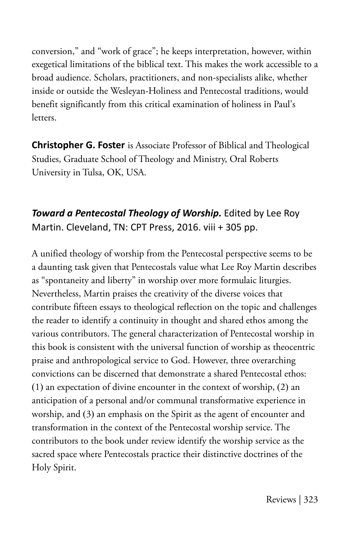conversion," and "work of grace"; he keeps interpretation, however, within exegetical limitations of the biblical text. This makes the work accessible to a broad audience. Scholars, practitioners, and non-specialists alike, whether inside or outside the Wesleyan-Holiness and Pentecostal traditions, would benefit significantly from this critical examination of holiness in Paul's letters.

**Christopher G. Foster** is Associate Professor of Biblical and Theological Studies, Graduate School of Theology and Ministry, Oral Roberts University in Tulsa, OK, USA.

### *Toward a Pentecostal Theology of Worship.* Edited by Lee Roy Martin. Cleveland, TN: CPT Press, 2016. viii + 305 pp.

A unified theology of worship from the Pentecostal perspective seems to be a daunting task given that Pentecostals value what Lee Roy Martin describes as "spontaneity and liberty" in worship over more formulaic liturgies. Nevertheless, Martin praises the creativity of the diverse voices that contribute fifteen essays to theological reflection on the topic and challenges the reader to identify a continuity in thought and shared ethos among the various contributors. The general characterization of Pentecostal worship in this book is consistent with the universal function of worship as theocentric praise and anthropological service to God. However, three overarching convictions can be discerned that demonstrate a shared Pentecostal ethos: (1) an expectation of divine encounter in the context of worship, (2) an anticipation of a personal and/or communal transformative experience in worship, and (3) an emphasis on the Spirit as the agent of encounter and transformation in the context of the Pentecostal worship service. The contributors to the book under review identify the worship service as the sacred space where Pentecostals practice their distinctive doctrines of the Holy Spirit.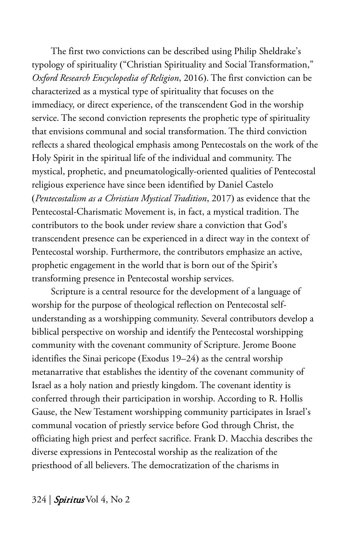The first two convictions can be described using Philip Sheldrake's typology of spirituality ("Christian Spirituality and Social Transformation," *Oxford Research Encyclopedia of Religion*, 2016). The first conviction can be characterized as a mystical type of spirituality that focuses on the immediacy, or direct experience, of the transcendent God in the worship service. The second conviction represents the prophetic type of spirituality that envisions communal and social transformation. The third conviction reflects a shared theological emphasis among Pentecostals on the work of the Holy Spirit in the spiritual life of the individual and community. The mystical, prophetic, and pneumatologically-oriented qualities of Pentecostal religious experience have since been identified by Daniel Castelo (*Pentecostalism as a Christian Mystical Tradition*, 2017) as evidence that the Pentecostal-Charismatic Movement is, in fact, a mystical tradition. The contributors to the book under review share a conviction that God's transcendent presence can be experienced in a direct way in the context of Pentecostal worship. Furthermore, the contributors emphasize an active, prophetic engagement in the world that is born out of the Spirit's transforming presence in Pentecostal worship services.

Scripture is a central resource for the development of a language of worship for the purpose of theological reflection on Pentecostal selfunderstanding as a worshipping community. Several contributors develop a biblical perspective on worship and identify the Pentecostal worshipping community with the covenant community of Scripture. Jerome Boone identifies the Sinai pericope (Exodus 19–24) as the central worship metanarrative that establishes the identity of the covenant community of Israel as a holy nation and priestly kingdom. The covenant identity is conferred through their participation in worship. According to R. Hollis Gause, the New Testament worshipping community participates in Israel's communal vocation of priestly service before God through Christ, the officiating high priest and perfect sacrifice. Frank D. Macchia describes the diverse expressions in Pentecostal worship as the realization of the priesthood of all believers. The democratization of the charisms in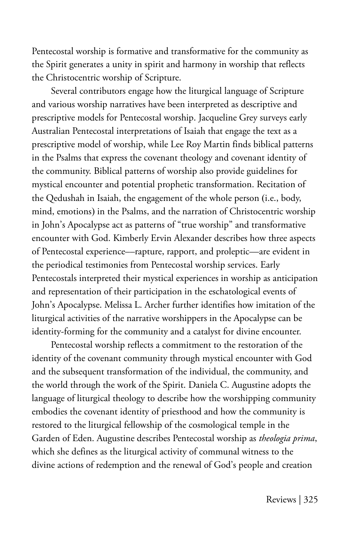Pentecostal worship is formative and transformative for the community as the Spirit generates a unity in spirit and harmony in worship that reflects the Christocentric worship of Scripture.

Several contributors engage how the liturgical language of Scripture and various worship narratives have been interpreted as descriptive and prescriptive models for Pentecostal worship. Jacqueline Grey surveys early Australian Pentecostal interpretations of Isaiah that engage the text as a prescriptive model of worship, while Lee Roy Martin finds biblical patterns in the Psalms that express the covenant theology and covenant identity of the community. Biblical patterns of worship also provide guidelines for mystical encounter and potential prophetic transformation. Recitation of the Qedushah in Isaiah, the engagement of the whole person (i.e., body, mind, emotions) in the Psalms, and the narration of Christocentric worship in John's Apocalypse act as patterns of "true worship" and transformative encounter with God. Kimberly Ervin Alexander describes how three aspects of Pentecostal experience––rapture, rapport, and proleptic––are evident in the periodical testimonies from Pentecostal worship services. Early Pentecostals interpreted their mystical experiences in worship as anticipation and representation of their participation in the eschatological events of John's Apocalypse. Melissa L. Archer further identifies how imitation of the liturgical activities of the narrative worshippers in the Apocalypse can be identity-forming for the community and a catalyst for divine encounter.

Pentecostal worship reflects a commitment to the restoration of the identity of the covenant community through mystical encounter with God and the subsequent transformation of the individual, the community, and the world through the work of the Spirit. Daniela C. Augustine adopts the language of liturgical theology to describe how the worshipping community embodies the covenant identity of priesthood and how the community is restored to the liturgical fellowship of the cosmological temple in the Garden of Eden. Augustine describes Pentecostal worship as *theologia prima*, which she defines as the liturgical activity of communal witness to the divine actions of redemption and the renewal of God's people and creation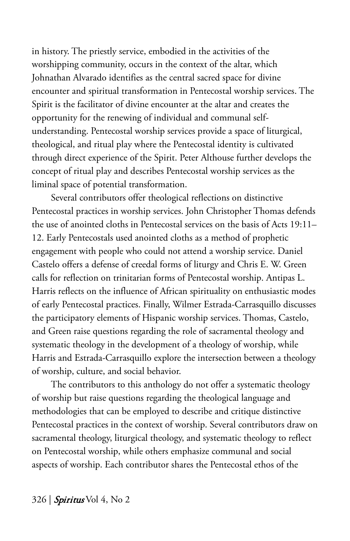in history. The priestly service, embodied in the activities of the worshipping community, occurs in the context of the altar, which Johnathan Alvarado identifies as the central sacred space for divine encounter and spiritual transformation in Pentecostal worship services. The Spirit is the facilitator of divine encounter at the altar and creates the opportunity for the renewing of individual and communal selfunderstanding. Pentecostal worship services provide a space of liturgical, theological, and ritual play where the Pentecostal identity is cultivated through direct experience of the Spirit. Peter Althouse further develops the concept of ritual play and describes Pentecostal worship services as the liminal space of potential transformation.

Several contributors offer theological reflections on distinctive Pentecostal practices in worship services. John Christopher Thomas defends the use of anointed cloths in Pentecostal services on the basis of Acts 19:11– 12. Early Pentecostals used anointed cloths as a method of prophetic engagement with people who could not attend a worship service. Daniel Castelo offers a defense of creedal forms of liturgy and Chris E. W. Green calls for reflection on trinitarian forms of Pentecostal worship. Antipas L. Harris reflects on the influence of African spirituality on enthusiastic modes of early Pentecostal practices. Finally, Wilmer Estrada-Carrasquillo discusses the participatory elements of Hispanic worship services. Thomas, Castelo, and Green raise questions regarding the role of sacramental theology and systematic theology in the development of a theology of worship, while Harris and Estrada-Carrasquillo explore the intersection between a theology of worship, culture, and social behavior.

The contributors to this anthology do not offer a systematic theology of worship but raise questions regarding the theological language and methodologies that can be employed to describe and critique distinctive Pentecostal practices in the context of worship. Several contributors draw on sacramental theology, liturgical theology, and systematic theology to reflect on Pentecostal worship, while others emphasize communal and social aspects of worship. Each contributor shares the Pentecostal ethos of the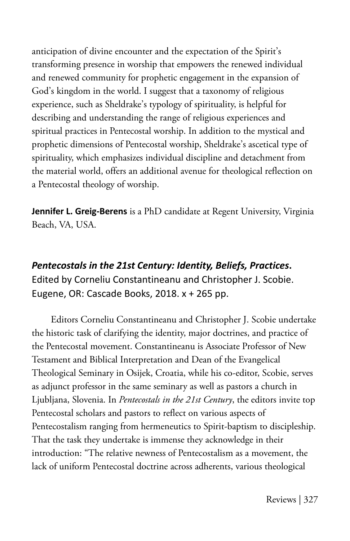anticipation of divine encounter and the expectation of the Spirit's transforming presence in worship that empowers the renewed individual and renewed community for prophetic engagement in the expansion of God's kingdom in the world. I suggest that a taxonomy of religious experience, such as Sheldrake's typology of spirituality, is helpful for describing and understanding the range of religious experiences and spiritual practices in Pentecostal worship. In addition to the mystical and prophetic dimensions of Pentecostal worship, Sheldrake's ascetical type of spirituality, which emphasizes individual discipline and detachment from the material world, offers an additional avenue for theological reflection on a Pentecostal theology of worship.

**Jennifer L. Greig-Berens** is a PhD candidate at Regent University, Virginia Beach, VA, USA.

## *Pentecostals in the 21st Century: Identity, Beliefs, Practices***.** Edited by Corneliu Constantineanu and Christopher J. Scobie. Eugene, OR: Cascade Books, 2018. x + 265 pp.

Editors Corneliu Constantineanu and Christopher J. Scobie undertake the historic task of clarifying the identity, major doctrines, and practice of the Pentecostal movement. Constantineanu is Associate Professor of New Testament and Biblical Interpretation and Dean of the Evangelical Theological Seminary in Osijek, Croatia, while his co-editor, Scobie, serves as adjunct professor in the same seminary as well as pastors a church in Ljubljana, Slovenia. In *Pentecostals in the 21st Century*, the editors invite top Pentecostal scholars and pastors to reflect on various aspects of Pentecostalism ranging from hermeneutics to Spirit-baptism to discipleship. That the task they undertake is immense they acknowledge in their introduction: "The relative newness of Pentecostalism as a movement, the lack of uniform Pentecostal doctrine across adherents, various theological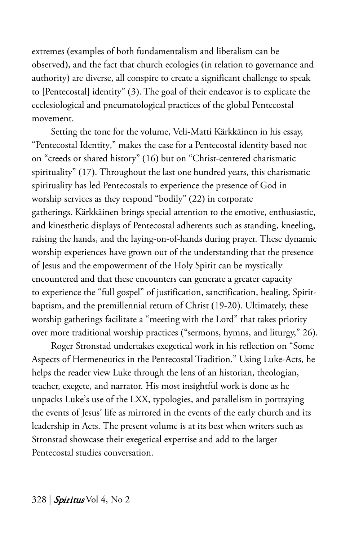extremes (examples of both fundamentalism and liberalism can be observed), and the fact that church ecologies (in relation to governance and authority) are diverse, all conspire to create a significant challenge to speak to [Pentecostal] identity" (3). The goal of their endeavor is to explicate the ecclesiological and pneumatological practices of the global Pentecostal movement.

Setting the tone for the volume, Veli-Matti Kärkkäinen in his essay, "Pentecostal Identity," makes the case for a Pentecostal identity based not on "creeds or shared history" (16) but on "Christ-centered charismatic spirituality" (17). Throughout the last one hundred years, this charismatic spirituality has led Pentecostals to experience the presence of God in worship services as they respond "bodily" (22) in corporate gatherings. Kärkkäinen brings special attention to the emotive, enthusiastic, and kinesthetic displays of Pentecostal adherents such as standing, kneeling, raising the hands, and the laying-on-of-hands during prayer. These dynamic worship experiences have grown out of the understanding that the presence of Jesus and the empowerment of the Holy Spirit can be mystically encountered and that these encounters can generate a greater capacity to experience the "full gospel" of justification, sanctification, healing, Spiritbaptism, and the premillennial return of Christ (19-20). Ultimately, these worship gatherings facilitate a "meeting with the Lord" that takes priority over more traditional worship practices ("sermons, hymns, and liturgy," 26).

Roger Stronstad undertakes exegetical work in his reflection on "Some Aspects of Hermeneutics in the Pentecostal Tradition." Using Luke-Acts, he helps the reader view Luke through the lens of an historian, theologian, teacher, exegete, and narrator. His most insightful work is done as he unpacks Luke's use of the LXX, typologies, and parallelism in portraying the events of Jesus' life as mirrored in the events of the early church and its leadership in Acts. The present volume is at its best when writers such as Stronstad showcase their exegetical expertise and add to the larger Pentecostal studies conversation.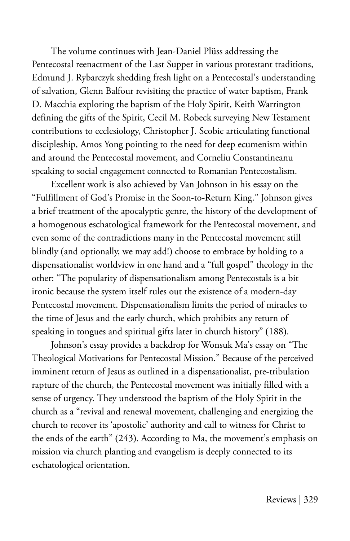The volume continues with Jean-Daniel Plüss addressing the Pentecostal reenactment of the Last Supper in various protestant traditions, Edmund J. Rybarczyk shedding fresh light on a Pentecostal's understanding of salvation, Glenn Balfour revisiting the practice of water baptism, Frank D. Macchia exploring the baptism of the Holy Spirit, Keith Warrington defining the gifts of the Spirit, Cecil M. Robeck surveying New Testament contributions to ecclesiology, Christopher J. Scobie articulating functional discipleship, Amos Yong pointing to the need for deep ecumenism within and around the Pentecostal movement, and Corneliu Constantineanu speaking to social engagement connected to Romanian Pentecostalism.

Excellent work is also achieved by Van Johnson in his essay on the "Fulfillment of God's Promise in the Soon-to-Return King." Johnson gives a brief treatment of the apocalyptic genre, the history of the development of a homogenous eschatological framework for the Pentecostal movement, and even some of the contradictions many in the Pentecostal movement still blindly (and optionally, we may add!) choose to embrace by holding to a dispensationalist worldview in one hand and a "full gospel" theology in the other: "The popularity of dispensationalism among Pentecostals is a bit ironic because the system itself rules out the existence of a modern-day Pentecostal movement. Dispensationalism limits the period of miracles to the time of Jesus and the early church, which prohibits any return of speaking in tongues and spiritual gifts later in church history" (188).

Johnson's essay provides a backdrop for Wonsuk Ma's essay on "The Theological Motivations for Pentecostal Mission." Because of the perceived imminent return of Jesus as outlined in a dispensationalist, pre-tribulation rapture of the church, the Pentecostal movement was initially filled with a sense of urgency. They understood the baptism of the Holy Spirit in the church as a "revival and renewal movement, challenging and energizing the church to recover its 'apostolic' authority and call to witness for Christ to the ends of the earth" (243). According to Ma, the movement's emphasis on mission via church planting and evangelism is deeply connected to its eschatological orientation.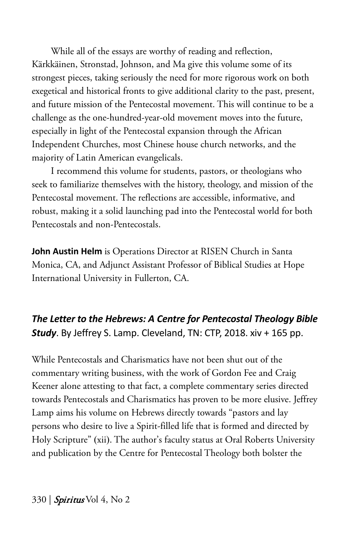While all of the essays are worthy of reading and reflection, Kärkkäinen, Stronstad, Johnson, and Ma give this volume some of its strongest pieces, taking seriously the need for more rigorous work on both exegetical and historical fronts to give additional clarity to the past, present, and future mission of the Pentecostal movement. This will continue to be a challenge as the one-hundred-year-old movement moves into the future, especially in light of the Pentecostal expansion through the African Independent Churches, most Chinese house church networks, and the majority of Latin American evangelicals.

I recommend this volume for students, pastors, or theologians who seek to familiarize themselves with the history, theology, and mission of the Pentecostal movement. The reflections are accessible, informative, and robust, making it a solid launching pad into the Pentecostal world for both Pentecostals and non-Pentecostals.

**John Austin Helm** is Operations Director at RISEN Church in Santa Monica, CA, and Adjunct Assistant Professor of Biblical Studies at Hope International University in Fullerton, CA.

#### *The Letter to the Hebrews: A Centre for Pentecostal Theology Bible Study*. By Jeffrey S. Lamp. Cleveland, TN: CTP, 2018. xiv + 165 pp.

While Pentecostals and Charismatics have not been shut out of the commentary writing business, with the work of Gordon Fee and Craig Keener alone attesting to that fact, a complete commentary series directed towards Pentecostals and Charismatics has proven to be more elusive. Jeffrey Lamp aims his volume on Hebrews directly towards "pastors and lay persons who desire to live a Spirit-filled life that is formed and directed by Holy Scripture" (xii). The author's faculty status at Oral Roberts University and publication by the Centre for Pentecostal Theology both bolster the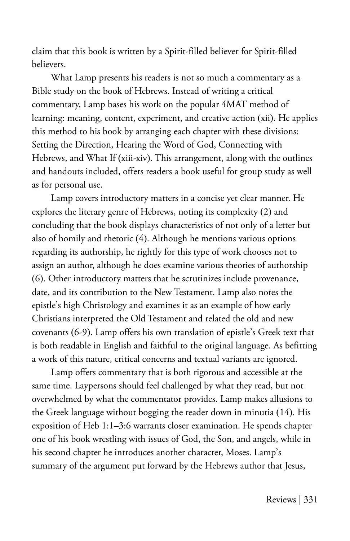claim that this book is written by a Spirit-filled believer for Spirit-filled believers.

What Lamp presents his readers is not so much a commentary as a Bible study on the book of Hebrews. Instead of writing a critical commentary, Lamp bases his work on the popular 4MAT method of learning: meaning, content, experiment, and creative action (xii). He applies this method to his book by arranging each chapter with these divisions: Setting the Direction, Hearing the Word of God, Connecting with Hebrews, and What If (xiii-xiv). This arrangement, along with the outlines and handouts included, offers readers a book useful for group study as well as for personal use.

Lamp covers introductory matters in a concise yet clear manner. He explores the literary genre of Hebrews, noting its complexity (2) and concluding that the book displays characteristics of not only of a letter but also of homily and rhetoric (4). Although he mentions various options regarding its authorship, he rightly for this type of work chooses not to assign an author, although he does examine various theories of authorship (6). Other introductory matters that he scrutinizes include provenance, date, and its contribution to the New Testament. Lamp also notes the epistle's high Christology and examines it as an example of how early Christians interpreted the Old Testament and related the old and new covenants (6-9). Lamp offers his own translation of epistle's Greek text that is both readable in English and faithful to the original language. As befitting a work of this nature, critical concerns and textual variants are ignored.

Lamp offers commentary that is both rigorous and accessible at the same time. Laypersons should feel challenged by what they read, but not overwhelmed by what the commentator provides. Lamp makes allusions to the Greek language without bogging the reader down in minutia (14). His exposition of Heb 1:1–3:6 warrants closer examination. He spends chapter one of his book wrestling with issues of God, the Son, and angels, while in his second chapter he introduces another character, Moses. Lamp's summary of the argument put forward by the Hebrews author that Jesus,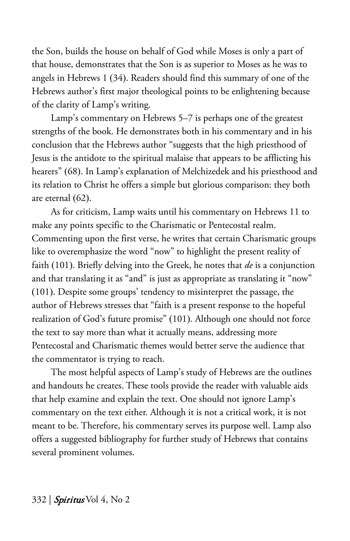the Son, builds the house on behalf of God while Moses is only a part of that house, demonstrates that the Son is as superior to Moses as he was to angels in Hebrews 1 (34). Readers should find this summary of one of the Hebrews author's first major theological points to be enlightening because of the clarity of Lamp's writing.

Lamp's commentary on Hebrews 5–7 is perhaps one of the greatest strengths of the book. He demonstrates both in his commentary and in his conclusion that the Hebrews author "suggests that the high priesthood of Jesus is the antidote to the spiritual malaise that appears to be afflicting his hearers" (68). In Lamp's explanation of Melchizedek and his priesthood and its relation to Christ he offers a simple but glorious comparison: they both are eternal (62).

As for criticism, Lamp waits until his commentary on Hebrews 11 to make any points specific to the Charismatic or Pentecostal realm. Commenting upon the first verse, he writes that certain Charismatic groups like to overemphasize the word "now" to highlight the present reality of faith (101). Briefly delving into the Greek, he notes that *de* is a conjunction and that translating it as "and" is just as appropriate as translating it "now" (101). Despite some groups' tendency to misinterpret the passage, the author of Hebrews stresses that "faith is a present response to the hopeful realization of God's future promise" (101). Although one should not force the text to say more than what it actually means, addressing more Pentecostal and Charismatic themes would better serve the audience that the commentator is trying to reach.

The most helpful aspects of Lamp's study of Hebrews are the outlines and handouts he creates. These tools provide the reader with valuable aids that help examine and explain the text. One should not ignore Lamp's commentary on the text either. Although it is not a critical work, it is not meant to be. Therefore, his commentary serves its purpose well. Lamp also offers a suggested bibliography for further study of Hebrews that contains several prominent volumes.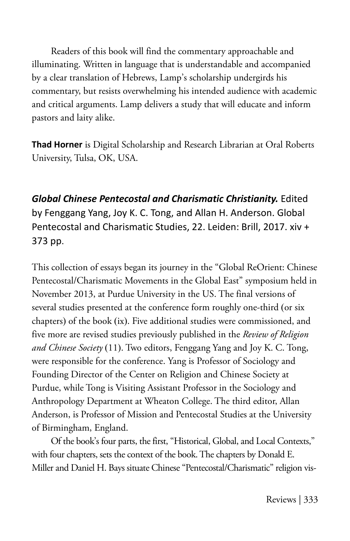Readers of this book will find the commentary approachable and illuminating. Written in language that is understandable and accompanied by a clear translation of Hebrews, Lamp's scholarship undergirds his commentary, but resists overwhelming his intended audience with academic and critical arguments. Lamp delivers a study that will educate and inform pastors and laity alike.

**Thad Horner** is Digital Scholarship and Research Librarian at Oral Roberts University, Tulsa, OK, USA.

*Global Chinese Pentecostal and Charismatic Christianity.* Edited by Fenggang Yang, Joy K. C. Tong, and Allan H. Anderson. Global Pentecostal and Charismatic Studies, 22. Leiden: Brill, 2017. xiv + 373 pp.

This collection of essays began its journey in the "Global ReOrient: Chinese Pentecostal/Charismatic Movements in the Global East" symposium held in November 2013, at Purdue University in the US. The final versions of several studies presented at the conference form roughly one-third (or six chapters) of the book (ix). Five additional studies were commissioned, and five more are revised studies previously published in the *Review of Religion and Chinese Society* (11). Two editors, Fenggang Yang and Joy K. C. Tong, were responsible for the conference. Yang is Professor of Sociology and Founding Director of the Center on Religion and Chinese Society at Purdue, while Tong is Visiting Assistant Professor in the Sociology and Anthropology Department at Wheaton College. The third editor, Allan Anderson, is Professor of Mission and Pentecostal Studies at the University of Birmingham, England.

Of the book's four parts, the first, "Historical, Global, and Local Contexts," with four chapters, sets the context of the book. The chapters by Donald E. Miller and Daniel H. Bays situate Chinese "Pentecostal/Charismatic" religion vis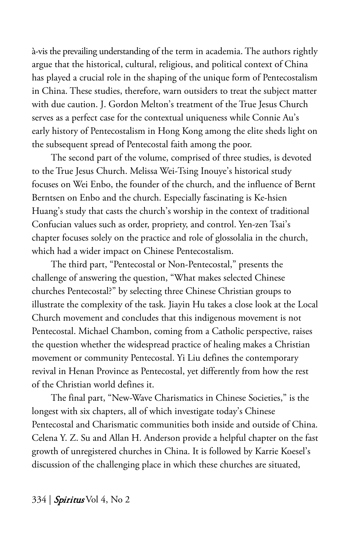à-vis the prevailing understanding of the term in academia. The authors rightly argue that the historical, cultural, religious, and political context of China has played a crucial role in the shaping of the unique form of Pentecostalism in China. These studies, therefore, warn outsiders to treat the subject matter with due caution. J. Gordon Melton's treatment of the True Jesus Church serves as a perfect case for the contextual uniqueness while Connie Au's early history of Pentecostalism in Hong Kong among the elite sheds light on the subsequent spread of Pentecostal faith among the poor.

The second part of the volume, comprised of three studies, is devoted to the True Jesus Church. Melissa Wei-Tsing Inouye's historical study focuses on Wei Enbo, the founder of the church, and the influence of Bernt Berntsen on Enbo and the church. Especially fascinating is Ke-hsien Huang's study that casts the church's worship in the context of traditional Confucian values such as order, propriety, and control. Yen-zen Tsai's chapter focuses solely on the practice and role of glossolalia in the church, which had a wider impact on Chinese Pentecostalism.

The third part, "Pentecostal or Non-Pentecostal," presents the challenge of answering the question, "What makes selected Chinese churches Pentecostal?" by selecting three Chinese Christian groups to illustrate the complexity of the task. Jiayin Hu takes a close look at the Local Church movement and concludes that this indigenous movement is not Pentecostal. Michael Chambon, coming from a Catholic perspective, raises the question whether the widespread practice of healing makes a Christian movement or community Pentecostal. Yi Liu defines the contemporary revival in Henan Province as Pentecostal, yet differently from how the rest of the Christian world defines it.

The final part, "New-Wave Charismatics in Chinese Societies," is the longest with six chapters, all of which investigate today's Chinese Pentecostal and Charismatic communities both inside and outside of China. Celena Y. Z. Su and Allan H. Anderson provide a helpful chapter on the fast growth of unregistered churches in China. It is followed by Karrie Koesel's discussion of the challenging place in which these churches are situated,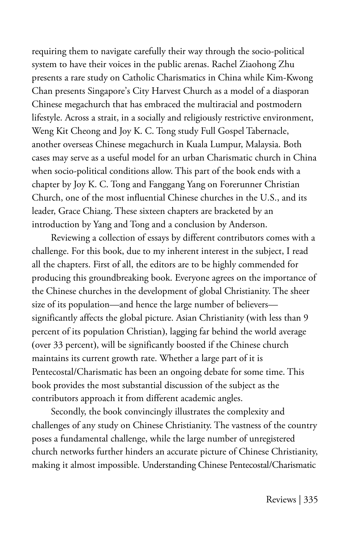requiring them to navigate carefully their way through the socio-political system to have their voices in the public arenas. Rachel Ziaohong Zhu presents a rare study on Catholic Charismatics in China while Kim-Kwong Chan presents Singapore's City Harvest Church as a model of a diasporan Chinese megachurch that has embraced the multiracial and postmodern lifestyle. Across a strait, in a socially and religiously restrictive environment, Weng Kit Cheong and Joy K. C. Tong study Full Gospel Tabernacle, another overseas Chinese megachurch in Kuala Lumpur, Malaysia. Both cases may serve as a useful model for an urban Charismatic church in China when socio-political conditions allow. This part of the book ends with a chapter by Joy K. C. Tong and Fanggang Yang on Forerunner Christian Church, one of the most influential Chinese churches in the U.S., and its leader, Grace Chiang. These sixteen chapters are bracketed by an introduction by Yang and Tong and a conclusion by Anderson.

Reviewing a collection of essays by different contributors comes with a challenge. For this book, due to my inherent interest in the subject, I read all the chapters. First of all, the editors are to be highly commended for producing this groundbreaking book. Everyone agrees on the importance of the Chinese churches in the development of global Christianity. The sheer size of its population—and hence the large number of believers significantly affects the global picture. Asian Christianity (with less than 9 percent of its population Christian), lagging far behind the world average (over 33 percent), will be significantly boosted if the Chinese church maintains its current growth rate. Whether a large part of it is Pentecostal/Charismatic has been an ongoing debate for some time. This book provides the most substantial discussion of the subject as the contributors approach it from different academic angles.

Secondly, the book convincingly illustrates the complexity and challenges of any study on Chinese Christianity. The vastness of the country poses a fundamental challenge, while the large number of unregistered church networks further hinders an accurate picture of Chinese Christianity, making it almost impossible. Understanding Chinese Pentecostal/Charismatic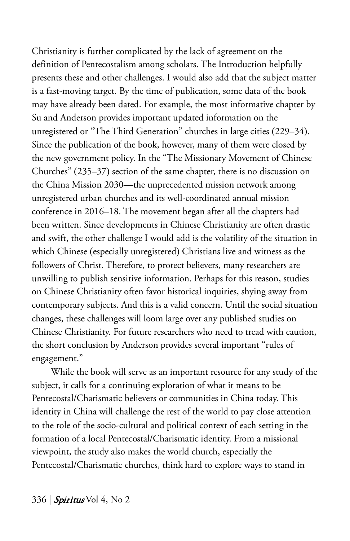Christianity is further complicated by the lack of agreement on the definition of Pentecostalism among scholars. The Introduction helpfully presents these and other challenges. I would also add that the subject matter is a fast-moving target. By the time of publication, some data of the book may have already been dated. For example, the most informative chapter by Su and Anderson provides important updated information on the unregistered or "The Third Generation" churches in large cities (229–34). Since the publication of the book, however, many of them were closed by the new government policy. In the "The Missionary Movement of Chinese Churches" (235–37) section of the same chapter, there is no discussion on the China Mission 2030—the unprecedented mission network among unregistered urban churches and its well-coordinated annual mission conference in 2016–18. The movement began after all the chapters had been written. Since developments in Chinese Christianity are often drastic and swift, the other challenge I would add is the volatility of the situation in which Chinese (especially unregistered) Christians live and witness as the followers of Christ. Therefore, to protect believers, many researchers are unwilling to publish sensitive information. Perhaps for this reason, studies on Chinese Christianity often favor historical inquiries, shying away from contemporary subjects. And this is a valid concern. Until the social situation changes, these challenges will loom large over any published studies on Chinese Christianity. For future researchers who need to tread with caution, the short conclusion by Anderson provides several important "rules of engagement."

While the book will serve as an important resource for any study of the subject, it calls for a continuing exploration of what it means to be Pentecostal/Charismatic believers or communities in China today. This identity in China will challenge the rest of the world to pay close attention to the role of the socio-cultural and political context of each setting in the formation of a local Pentecostal/Charismatic identity. From a missional viewpoint, the study also makes the world church, especially the Pentecostal/Charismatic churches, think hard to explore ways to stand in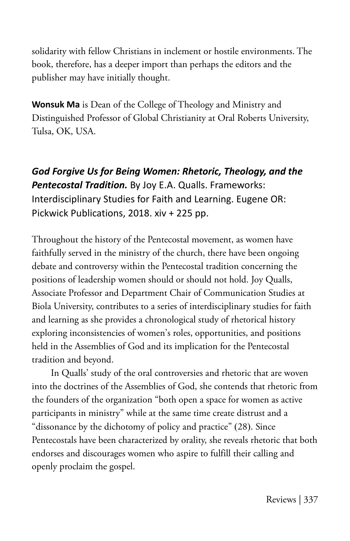solidarity with fellow Christians in inclement or hostile environments. The book, therefore, has a deeper import than perhaps the editors and the publisher may have initially thought.

**Wonsuk Ma** is Dean of the College of Theology and Ministry and Distinguished Professor of Global Christianity at Oral Roberts University, Tulsa, OK, USA.

*God Forgive Us for Being Women: Rhetoric, Theology, and the Pentecostal Tradition.* By Joy E.A. Qualls. Frameworks: Interdisciplinary Studies for Faith and Learning. Eugene OR: Pickwick Publications, 2018. xiv + 225 pp.

Throughout the history of the Pentecostal movement, as women have faithfully served in the ministry of the church, there have been ongoing debate and controversy within the Pentecostal tradition concerning the positions of leadership women should or should not hold. Joy Qualls, Associate Professor and Department Chair of Communication Studies at Biola University, contributes to a series of interdisciplinary studies for faith and learning as she provides a chronological study of rhetorical history exploring inconsistencies of women's roles, opportunities, and positions held in the Assemblies of God and its implication for the Pentecostal tradition and beyond.

In Qualls' study of the oral controversies and rhetoric that are woven into the doctrines of the Assemblies of God, she contends that rhetoric from the founders of the organization "both open a space for women as active participants in ministry" while at the same time create distrust and a "dissonance by the dichotomy of policy and practice" (28). Since Pentecostals have been characterized by orality, she reveals rhetoric that both endorses and discourages women who aspire to fulfill their calling and openly proclaim the gospel.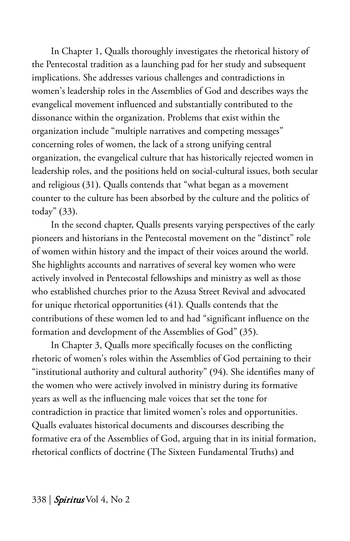In Chapter 1, Qualls thoroughly investigates the rhetorical history of the Pentecostal tradition as a launching pad for her study and subsequent implications. She addresses various challenges and contradictions in women's leadership roles in the Assemblies of God and describes ways the evangelical movement influenced and substantially contributed to the dissonance within the organization. Problems that exist within the organization include "multiple narratives and competing messages" concerning roles of women, the lack of a strong unifying central organization, the evangelical culture that has historically rejected women in leadership roles, and the positions held on social-cultural issues, both secular and religious (31). Qualls contends that "what began as a movement counter to the culture has been absorbed by the culture and the politics of today" (33).

In the second chapter, Qualls presents varying perspectives of the early pioneers and historians in the Pentecostal movement on the "distinct" role of women within history and the impact of their voices around the world. She highlights accounts and narratives of several key women who were actively involved in Pentecostal fellowships and ministry as well as those who established churches prior to the Azusa Street Revival and advocated for unique rhetorical opportunities (41). Qualls contends that the contributions of these women led to and had "significant influence on the formation and development of the Assemblies of God" (35).

In Chapter 3, Qualls more specifically focuses on the conflicting rhetoric of women's roles within the Assemblies of God pertaining to their "institutional authority and cultural authority" (94). She identifies many of the women who were actively involved in ministry during its formative years as well as the influencing male voices that set the tone for contradiction in practice that limited women's roles and opportunities. Qualls evaluates historical documents and discourses describing the formative era of the Assemblies of God, arguing that in its initial formation, rhetorical conflicts of doctrine (The Sixteen Fundamental Truths) and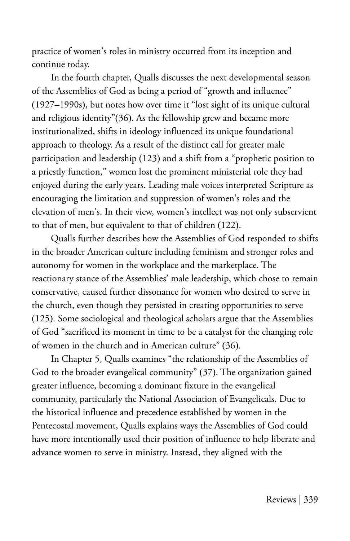practice of women's roles in ministry occurred from its inception and continue today.

In the fourth chapter, Qualls discusses the next developmental season of the Assemblies of God as being a period of "growth and influence" (1927–1990s), but notes how over time it "lost sight of its unique cultural and religious identity"(36). As the fellowship grew and became more institutionalized, shifts in ideology influenced its unique foundational approach to theology. As a result of the distinct call for greater male participation and leadership (123) and a shift from a "prophetic position to a priestly function," women lost the prominent ministerial role they had enjoyed during the early years. Leading male voices interpreted Scripture as encouraging the limitation and suppression of women's roles and the elevation of men's. In their view, women's intellect was not only subservient to that of men, but equivalent to that of children (122).

Qualls further describes how the Assemblies of God responded to shifts in the broader American culture including feminism and stronger roles and autonomy for women in the workplace and the marketplace. The reactionary stance of the Assemblies' male leadership, which chose to remain conservative, caused further dissonance for women who desired to serve in the church, even though they persisted in creating opportunities to serve (125). Some sociological and theological scholars argue that the Assemblies of God "sacrificed its moment in time to be a catalyst for the changing role of women in the church and in American culture" (36).

In Chapter 5, Qualls examines "the relationship of the Assemblies of God to the broader evangelical community" (37). The organization gained greater influence, becoming a dominant fixture in the evangelical community, particularly the National Association of Evangelicals. Due to the historical influence and precedence established by women in the Pentecostal movement, Qualls explains ways the Assemblies of God could have more intentionally used their position of influence to help liberate and advance women to serve in ministry. Instead, they aligned with the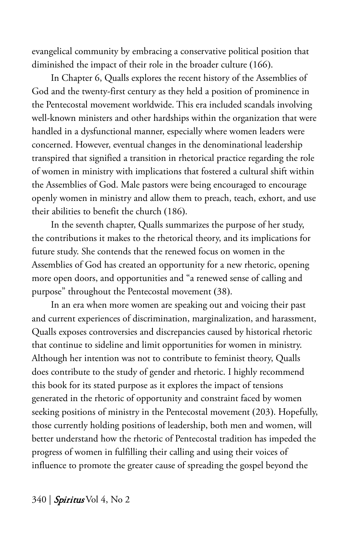evangelical community by embracing a conservative political position that diminished the impact of their role in the broader culture (166).

In Chapter 6, Qualls explores the recent history of the Assemblies of God and the twenty-first century as they held a position of prominence in the Pentecostal movement worldwide. This era included scandals involving well-known ministers and other hardships within the organization that were handled in a dysfunctional manner, especially where women leaders were concerned. However, eventual changes in the denominational leadership transpired that signified a transition in rhetorical practice regarding the role of women in ministry with implications that fostered a cultural shift within the Assemblies of God. Male pastors were being encouraged to encourage openly women in ministry and allow them to preach, teach, exhort, and use their abilities to benefit the church (186).

In the seventh chapter, Qualls summarizes the purpose of her study, the contributions it makes to the rhetorical theory, and its implications for future study. She contends that the renewed focus on women in the Assemblies of God has created an opportunity for a new rhetoric, opening more open doors, and opportunities and "a renewed sense of calling and purpose" throughout the Pentecostal movement (38).

In an era when more women are speaking out and voicing their past and current experiences of discrimination, marginalization, and harassment, Qualls exposes controversies and discrepancies caused by historical rhetoric that continue to sideline and limit opportunities for women in ministry. Although her intention was not to contribute to feminist theory, Qualls does contribute to the study of gender and rhetoric. I highly recommend this book for its stated purpose as it explores the impact of tensions generated in the rhetoric of opportunity and constraint faced by women seeking positions of ministry in the Pentecostal movement (203). Hopefully, those currently holding positions of leadership, both men and women, will better understand how the rhetoric of Pentecostal tradition has impeded the progress of women in fulfilling their calling and using their voices of influence to promote the greater cause of spreading the gospel beyond the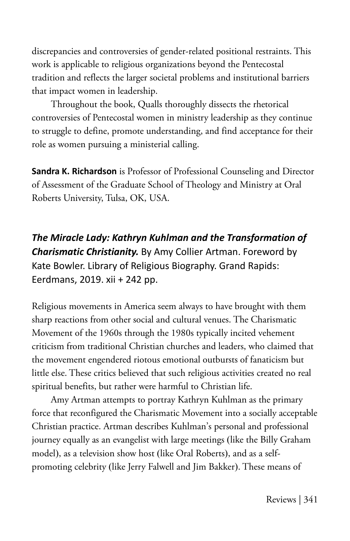discrepancies and controversies of gender-related positional restraints. This work is applicable to religious organizations beyond the Pentecostal tradition and reflects the larger societal problems and institutional barriers that impact women in leadership.

Throughout the book, Qualls thoroughly dissects the rhetorical controversies of Pentecostal women in ministry leadership as they continue to struggle to define, promote understanding, and find acceptance for their role as women pursuing a ministerial calling.

**Sandra K. Richardson** is Professor of Professional Counseling and Director of Assessment of the Graduate School of Theology and Ministry at Oral Roberts University, Tulsa, OK, USA.

*The Miracle Lady: Kathryn Kuhlman and the Transformation of Charismatic Christianity.* By Amy Collier Artman. Foreword by Kate Bowler. Library of Religious Biography. Grand Rapids: Eerdmans, 2019. xii + 242 pp.

Religious movements in America seem always to have brought with them sharp reactions from other social and cultural venues. The Charismatic Movement of the 1960s through the 1980s typically incited vehement criticism from traditional Christian churches and leaders, who claimed that the movement engendered riotous emotional outbursts of fanaticism but little else. These critics believed that such religious activities created no real spiritual benefits, but rather were harmful to Christian life.

Amy Artman attempts to portray Kathryn Kuhlman as the primary force that reconfigured the Charismatic Movement into a socially acceptable Christian practice. Artman describes Kuhlman's personal and professional journey equally as an evangelist with large meetings (like the Billy Graham model), as a television show host (like Oral Roberts), and as a selfpromoting celebrity (like Jerry Falwell and Jim Bakker). These means of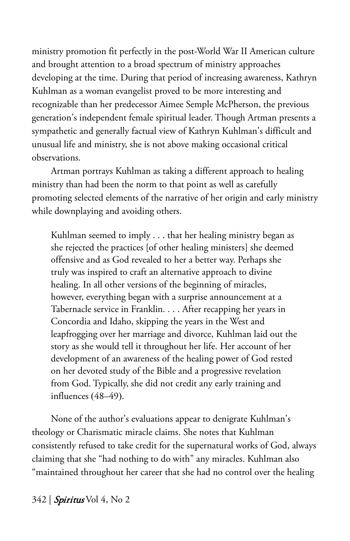ministry promotion fit perfectly in the post-World War II American culture and brought attention to a broad spectrum of ministry approaches developing at the time. During that period of increasing awareness, Kathryn Kuhlman as a woman evangelist proved to be more interesting and recognizable than her predecessor Aimee Semple McPherson, the previous generation's independent female spiritual leader. Though Artman presents a sympathetic and generally factual view of Kathryn Kuhlman's difficult and unusual life and ministry, she is not above making occasional critical observations.

Artman portrays Kuhlman as taking a different approach to healing ministry than had been the norm to that point as well as carefully promoting selected elements of the narrative of her origin and early ministry while downplaying and avoiding others.

Kuhlman seemed to imply . . . that her healing ministry began as she rejected the practices [of other healing ministers] she deemed offensive and as God revealed to her a better way. Perhaps she truly was inspired to craft an alternative approach to divine healing. In all other versions of the beginning of miracles, however, everything began with a surprise announcement at a Tabernacle service in Franklin. . . . After recapping her years in Concordia and Idaho, skipping the years in the West and leapfrogging over her marriage and divorce, Kuhlman laid out the story as she would tell it throughout her life. Her account of her development of an awareness of the healing power of God rested on her devoted study of the Bible and a progressive revelation from God. Typically, she did not credit any early training and influences (48–49).

None of the author's evaluations appear to denigrate Kuhlman's theology or Charismatic miracle claims. She notes that Kuhlman consistently refused to take credit for the supernatural works of God, always claiming that she "had nothing to do with" any miracles. Kuhlman also "maintained throughout her career that she had no control over the healing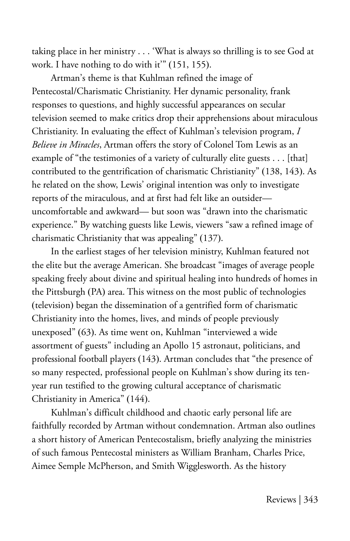taking place in her ministry . . . 'What is always so thrilling is to see God at work. I have nothing to do with it" (151, 155).

Artman's theme is that Kuhlman refined the image of Pentecostal/Charismatic Christianity. Her dynamic personality, frank responses to questions, and highly successful appearances on secular television seemed to make critics drop their apprehensions about miraculous Christianity. In evaluating the effect of Kuhlman's television program, *I Believe in Miracles*, Artman offers the story of Colonel Tom Lewis as an example of "the testimonies of a variety of culturally elite guests . . . [that] contributed to the gentrification of charismatic Christianity" (138, 143). As he related on the show, Lewis' original intention was only to investigate reports of the miraculous, and at first had felt like an outsider uncomfortable and awkward— but soon was "drawn into the charismatic experience." By watching guests like Lewis, viewers "saw a refined image of charismatic Christianity that was appealing" (137).

In the earliest stages of her television ministry, Kuhlman featured not the elite but the average American. She broadcast "images of average people speaking freely about divine and spiritual healing into hundreds of homes in the Pittsburgh (PA) area. This witness on the most public of technologies (television) began the dissemination of a gentrified form of charismatic Christianity into the homes, lives, and minds of people previously unexposed" (63). As time went on, Kuhlman "interviewed a wide assortment of guests" including an Apollo 15 astronaut, politicians, and professional football players (143). Artman concludes that "the presence of so many respected, professional people on Kuhlman's show during its tenyear run testified to the growing cultural acceptance of charismatic Christianity in America" (144).

Kuhlman's difficult childhood and chaotic early personal life are faithfully recorded by Artman without condemnation. Artman also outlines a short history of American Pentecostalism, briefly analyzing the ministries of such famous Pentecostal ministers as William Branham, Charles Price, Aimee Semple McPherson, and Smith Wigglesworth. As the history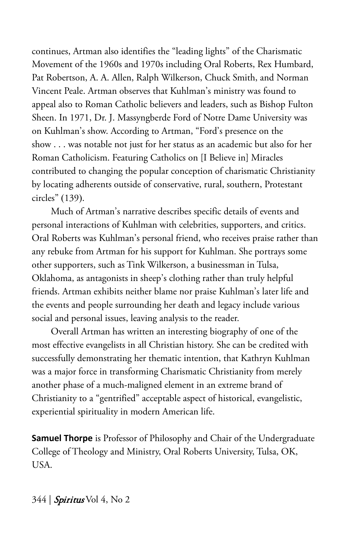continues, Artman also identifies the "leading lights" of the Charismatic Movement of the 1960s and 1970s including Oral Roberts, Rex Humbard, Pat Robertson, A. A. Allen, Ralph Wilkerson, Chuck Smith, and Norman Vincent Peale. Artman observes that Kuhlman's ministry was found to appeal also to Roman Catholic believers and leaders, such as Bishop Fulton Sheen. In 1971, Dr. J. Massyngberde Ford of Notre Dame University was on Kuhlman's show. According to Artman, "Ford's presence on the show . . . was notable not just for her status as an academic but also for her Roman Catholicism. Featuring Catholics on [I Believe in] Miracles contributed to changing the popular conception of charismatic Christianity by locating adherents outside of conservative, rural, southern, Protestant circles" (139).

Much of Artman's narrative describes specific details of events and personal interactions of Kuhlman with celebrities, supporters, and critics. Oral Roberts was Kuhlman's personal friend, who receives praise rather than any rebuke from Artman for his support for Kuhlman. She portrays some other supporters, such as Tink Wilkerson, a businessman in Tulsa, Oklahoma, as antagonists in sheep's clothing rather than truly helpful friends. Artman exhibits neither blame nor praise Kuhlman's later life and the events and people surrounding her death and legacy include various social and personal issues, leaving analysis to the reader.

Overall Artman has written an interesting biography of one of the most effective evangelists in all Christian history. She can be credited with successfully demonstrating her thematic intention, that Kathryn Kuhlman was a major force in transforming Charismatic Christianity from merely another phase of a much-maligned element in an extreme brand of Christianity to a "gentrified" acceptable aspect of historical, evangelistic, experiential spirituality in modern American life.

**Samuel Thorpe** is Professor of Philosophy and Chair of the Undergraduate College of Theology and Ministry, Oral Roberts University, Tulsa, OK, USA.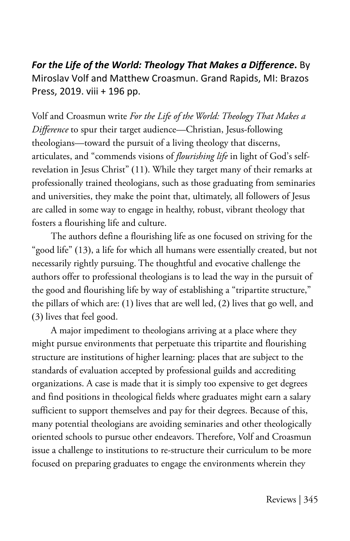*For the Life of the World: Theology That Makes a Difference***.** By Miroslav Volf and Matthew Croasmun. Grand Rapids, MI: Brazos Press, 2019. viii + 196 pp.

Volf and Croasmun write *For the Life of the World: Theology That Makes a Difference* to spur their target audience—Christian, Jesus-following theologians—toward the pursuit of a living theology that discerns, articulates, and "commends visions of *flourishing life* in light of God's selfrevelation in Jesus Christ" (11). While they target many of their remarks at professionally trained theologians, such as those graduating from seminaries and universities, they make the point that, ultimately, all followers of Jesus are called in some way to engage in healthy, robust, vibrant theology that fosters a flourishing life and culture.

The authors define a flourishing life as one focused on striving for the "good life" (13), a life for which all humans were essentially created, but not necessarily rightly pursuing. The thoughtful and evocative challenge the authors offer to professional theologians is to lead the way in the pursuit of the good and flourishing life by way of establishing a "tripartite structure," the pillars of which are: (1) lives that are well led, (2) lives that go well, and (3) lives that feel good.

A major impediment to theologians arriving at a place where they might pursue environments that perpetuate this tripartite and flourishing structure are institutions of higher learning: places that are subject to the standards of evaluation accepted by professional guilds and accrediting organizations. A case is made that it is simply too expensive to get degrees and find positions in theological fields where graduates might earn a salary sufficient to support themselves and pay for their degrees. Because of this, many potential theologians are avoiding seminaries and other theologically oriented schools to pursue other endeavors. Therefore, Volf and Croasmun issue a challenge to institutions to re-structure their curriculum to be more focused on preparing graduates to engage the environments wherein they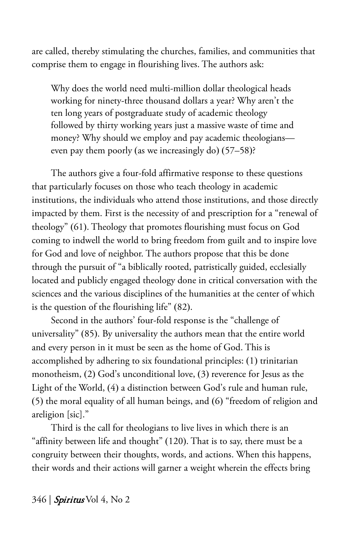are called, thereby stimulating the churches, families, and communities that comprise them to engage in flourishing lives. The authors ask:

Why does the world need multi-million dollar theological heads working for ninety-three thousand dollars a year? Why aren't the ten long years of postgraduate study of academic theology followed by thirty working years just a massive waste of time and money? Why should we employ and pay academic theologians even pay them poorly (as we increasingly do) (57–58)?

The authors give a four-fold affirmative response to these questions that particularly focuses on those who teach theology in academic institutions, the individuals who attend those institutions, and those directly impacted by them. First is the necessity of and prescription for a "renewal of theology" (61). Theology that promotes flourishing must focus on God coming to indwell the world to bring freedom from guilt and to inspire love for God and love of neighbor. The authors propose that this be done through the pursuit of "a biblically rooted, patristically guided, ecclesially located and publicly engaged theology done in critical conversation with the sciences and the various disciplines of the humanities at the center of which is the question of the flourishing life" (82).

Second in the authors' four-fold response is the "challenge of universality" (85). By universality the authors mean that the entire world and every person in it must be seen as the home of God. This is accomplished by adhering to six foundational principles: (1) trinitarian monotheism, (2) God's unconditional love, (3) reverence for Jesus as the Light of the World, (4) a distinction between God's rule and human rule, (5) the moral equality of all human beings, and (6) "freedom of religion and areligion [sic]."

Third is the call for theologians to live lives in which there is an "affinity between life and thought" (120). That is to say, there must be a congruity between their thoughts, words, and actions. When this happens, their words and their actions will garner a weight wherein the effects bring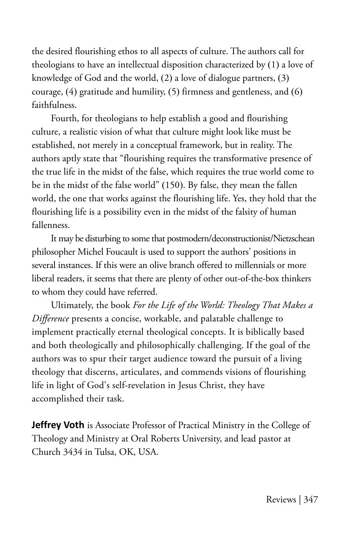the desired flourishing ethos to all aspects of culture. The authors call for theologians to have an intellectual disposition characterized by (1) a love of knowledge of God and the world, (2) a love of dialogue partners, (3) courage, (4) gratitude and humility, (5) firmness and gentleness, and (6) faithfulness.

Fourth, for theologians to help establish a good and flourishing culture, a realistic vision of what that culture might look like must be established, not merely in a conceptual framework, but in reality. The authors aptly state that "flourishing requires the transformative presence of the true life in the midst of the false, which requires the true world come to be in the midst of the false world" (150). By false, they mean the fallen world, the one that works against the flourishing life. Yes, they hold that the flourishing life is a possibility even in the midst of the falsity of human fallenness.

It may be disturbing to some that postmodern/deconstructionist/Nietzschean philosopher Michel Foucault is used to support the authors' positions in several instances. If this were an olive branch offered to millennials or more liberal readers, it seems that there are plenty of other out-of-the-box thinkers to whom they could have referred.

Ultimately, the book *For the Life of the World: Theology That Makes a Difference* presents a concise, workable, and palatable challenge to implement practically eternal theological concepts. It is biblically based and both theologically and philosophically challenging. If the goal of the authors was to spur their target audience toward the pursuit of a living theology that discerns, articulates, and commends visions of flourishing life in light of God's self-revelation in Jesus Christ, they have accomplished their task.

**Jeffrey Voth** is Associate Professor of Practical Ministry in the College of Theology and Ministry at Oral Roberts University, and lead pastor at Church 3434 in Tulsa, OK, USA.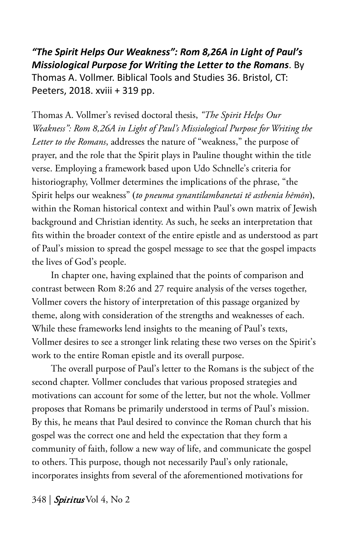*"The Spirit Helps Our Weakness": Rom 8,26A in Light of Paul's Missiological Purpose for Writing the Letter to the Romans*. By Thomas A. Vollmer. Biblical Tools and Studies 36. Bristol, CT: Peeters, 2018. xviii + 319 pp.

Thomas A. Vollmer's revised doctoral thesis, *"The Spirit Helps Our Weakness": Rom 8,26A in Light of Paul's Missiological Purpose for Writing the Letter to the Romans*, addresses the nature of "weakness," the purpose of prayer, and the role that the Spirit plays in Pauline thought within the title verse. Employing a framework based upon Udo Schnelle's criteria for historiography, Vollmer determines the implications of the phrase, "the Spirit helps our weakness" (*to pneuma synantilambanetai tē asthenia hēmōn*), within the Roman historical context and within Paul's own matrix of Jewish background and Christian identity. As such, he seeks an interpretation that fits within the broader context of the entire epistle and as understood as part of Paul's mission to spread the gospel message to see that the gospel impacts the lives of God's people.

In chapter one, having explained that the points of comparison and contrast between Rom 8:26 and 27 require analysis of the verses together, Vollmer covers the history of interpretation of this passage organized by theme, along with consideration of the strengths and weaknesses of each. While these frameworks lend insights to the meaning of Paul's texts, Vollmer desires to see a stronger link relating these two verses on the Spirit's work to the entire Roman epistle and its overall purpose.

The overall purpose of Paul's letter to the Romans is the subject of the second chapter. Vollmer concludes that various proposed strategies and motivations can account for some of the letter, but not the whole. Vollmer proposes that Romans be primarily understood in terms of Paul's mission. By this, he means that Paul desired to convince the Roman church that his gospel was the correct one and held the expectation that they form a community of faith, follow a new way of life, and communicate the gospel to others. This purpose, though not necessarily Paul's only rationale, incorporates insights from several of the aforementioned motivations for

348 | **Spiritus** Vol 4, No 2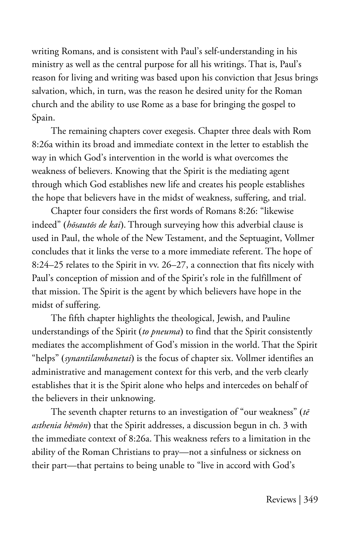writing Romans, and is consistent with Paul's self-understanding in his ministry as well as the central purpose for all his writings. That is, Paul's reason for living and writing was based upon his conviction that Jesus brings salvation, which, in turn, was the reason he desired unity for the Roman church and the ability to use Rome as a base for bringing the gospel to Spain.

The remaining chapters cover exegesis. Chapter three deals with Rom 8:26a within its broad and immediate context in the letter to establish the way in which God's intervention in the world is what overcomes the weakness of believers. Knowing that the Spirit is the mediating agent through which God establishes new life and creates his people establishes the hope that believers have in the midst of weakness, suffering, and trial.

Chapter four considers the first words of Romans 8:26: "likewise indeed" (*hōsautōs de kai*). Through surveying how this adverbial clause is used in Paul, the whole of the New Testament, and the Septuagint, Vollmer concludes that it links the verse to a more immediate referent. The hope of 8:24–25 relates to the Spirit in vv. 26–27, a connection that fits nicely with Paul's conception of mission and of the Spirit's role in the fulfillment of that mission. The Spirit is the agent by which believers have hope in the midst of suffering.

The fifth chapter highlights the theological, Jewish, and Pauline understandings of the Spirit (*to pneuma*) to find that the Spirit consistently mediates the accomplishment of God's mission in the world. That the Spirit "helps" (*synantilambanetai*) is the focus of chapter six. Vollmer identifies an administrative and management context for this verb, and the verb clearly establishes that it is the Spirit alone who helps and intercedes on behalf of the believers in their unknowing.

The seventh chapter returns to an investigation of "our weakness" (*tē asthenia hēmōn*) that the Spirit addresses, a discussion begun in ch. 3 with the immediate context of 8:26a. This weakness refers to a limitation in the ability of the Roman Christians to pray—not a sinfulness or sickness on their part—that pertains to being unable to "live in accord with God's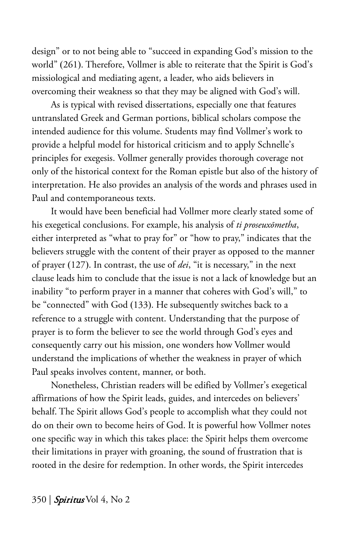design" or to not being able to "succeed in expanding God's mission to the world" (261). Therefore, Vollmer is able to reiterate that the Spirit is God's missiological and mediating agent, a leader, who aids believers in overcoming their weakness so that they may be aligned with God's will.

As is typical with revised dissertations, especially one that features untranslated Greek and German portions, biblical scholars compose the intended audience for this volume. Students may find Vollmer's work to provide a helpful model for historical criticism and to apply Schnelle's principles for exegesis. Vollmer generally provides thorough coverage not only of the historical context for the Roman epistle but also of the history of interpretation. He also provides an analysis of the words and phrases used in Paul and contemporaneous texts.

It would have been beneficial had Vollmer more clearly stated some of his exegetical conclusions. For example, his analysis of *ti proseuxōmetha*, either interpreted as "what to pray for" or "how to pray," indicates that the believers struggle with the content of their prayer as opposed to the manner of prayer (127). In contrast, the use of *dei*, "it is necessary," in the next clause leads him to conclude that the issue is not a lack of knowledge but an inability "to perform prayer in a manner that coheres with God's will," to be "connected" with God (133). He subsequently switches back to a reference to a struggle with content. Understanding that the purpose of prayer is to form the believer to see the world through God's eyes and consequently carry out his mission, one wonders how Vollmer would understand the implications of whether the weakness in prayer of which Paul speaks involves content, manner, or both.

Nonetheless, Christian readers will be edified by Vollmer's exegetical affirmations of how the Spirit leads, guides, and intercedes on believers' behalf. The Spirit allows God's people to accomplish what they could not do on their own to become heirs of God. It is powerful how Vollmer notes one specific way in which this takes place: the Spirit helps them overcome their limitations in prayer with groaning, the sound of frustration that is rooted in the desire for redemption. In other words, the Spirit intercedes